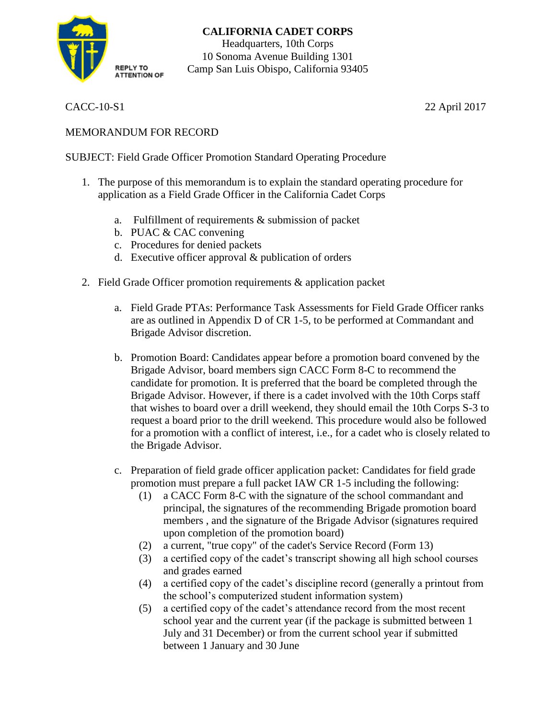

## **CALIFORNIA CADET CORPS**

Headquarters, 10th Corps 10 Sonoma Avenue Building 1301 Camp San Luis Obispo, California 93405

CACC-10-S1 22 April 2017

## MEMORANDUM FOR RECORD

## SUBJECT: Field Grade Officer Promotion Standard Operating Procedure

- 1. The purpose of this memorandum is to explain the standard operating procedure for application as a Field Grade Officer in the California Cadet Corps
	- a. Fulfillment of requirements & submission of packet
	- b. PUAC & CAC convening
	- c. Procedures for denied packets
	- d. Executive officer approval & publication of orders
- 2. Field Grade Officer promotion requirements & application packet
	- a. Field Grade PTAs: Performance Task Assessments for Field Grade Officer ranks are as outlined in Appendix D of CR 1-5, to be performed at Commandant and Brigade Advisor discretion.
	- b. Promotion Board: Candidates appear before a promotion board convened by the Brigade Advisor, board members sign CACC Form 8-C to recommend the candidate for promotion. It is preferred that the board be completed through the Brigade Advisor. However, if there is a cadet involved with the 10th Corps staff that wishes to board over a drill weekend, they should email the 10th Corps S-3 to request a board prior to the drill weekend. This procedure would also be followed for a promotion with a conflict of interest, i.e., for a cadet who is closely related to the Brigade Advisor.
	- c. Preparation of field grade officer application packet: Candidates for field grade promotion must prepare a full packet IAW CR 1-5 including the following:
		- (1) a CACC Form 8-C with the signature of the school commandant and principal, the signatures of the recommending Brigade promotion board members , and the signature of the Brigade Advisor (signatures required upon completion of the promotion board)
		- (2) a current, "true copy" of the cadet's Service Record (Form 13)
		- (3) a certified copy of the cadet's transcript showing all high school courses and grades earned
		- (4) a certified copy of the cadet's discipline record (generally a printout from the school's computerized student information system)
		- (5) a certified copy of the cadet's attendance record from the most recent school year and the current year (if the package is submitted between 1 July and 31 December) or from the current school year if submitted between 1 January and 30 June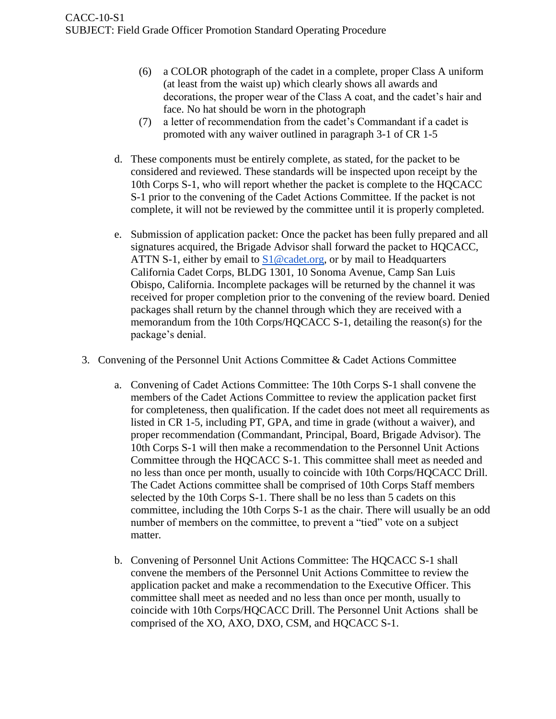- (6) a COLOR photograph of the cadet in a complete, proper Class A uniform (at least from the waist up) which clearly shows all awards and decorations, the proper wear of the Class A coat, and the cadet's hair and face. No hat should be worn in the photograph
- (7) a letter of recommendation from the cadet's Commandant if a cadet is promoted with any waiver outlined in paragraph 3-1 of CR 1-5
- d. These components must be entirely complete, as stated, for the packet to be considered and reviewed. These standards will be inspected upon receipt by the 10th Corps S-1, who will report whether the packet is complete to the HQCACC S-1 prior to the convening of the Cadet Actions Committee. If the packet is not complete, it will not be reviewed by the committee until it is properly completed.
- e. Submission of application packet: Once the packet has been fully prepared and all signatures acquired, the Brigade Advisor shall forward the packet to HQCACC, ATTN S-1, either by email to  $S1@cadet.org$ , or by mail to Headquarters California Cadet Corps, BLDG 1301, 10 Sonoma Avenue, Camp San Luis Obispo, California. Incomplete packages will be returned by the channel it was received for proper completion prior to the convening of the review board. Denied packages shall return by the channel through which they are received with a memorandum from the 10th Corps/HQCACC S-1, detailing the reason(s) for the package's denial.
- 3. Convening of the Personnel Unit Actions Committee & Cadet Actions Committee
	- a. Convening of Cadet Actions Committee: The 10th Corps S-1 shall convene the members of the Cadet Actions Committee to review the application packet first for completeness, then qualification. If the cadet does not meet all requirements as listed in CR 1-5, including PT, GPA, and time in grade (without a waiver), and proper recommendation (Commandant, Principal, Board, Brigade Advisor). The 10th Corps S-1 will then make a recommendation to the Personnel Unit Actions Committee through the HQCACC S-1. This committee shall meet as needed and no less than once per month, usually to coincide with 10th Corps/HQCACC Drill. The Cadet Actions committee shall be comprised of 10th Corps Staff members selected by the 10th Corps S-1. There shall be no less than 5 cadets on this committee, including the 10th Corps S-1 as the chair. There will usually be an odd number of members on the committee, to prevent a "tied" vote on a subject matter.
	- b. Convening of Personnel Unit Actions Committee: The HQCACC S-1 shall convene the members of the Personnel Unit Actions Committee to review the application packet and make a recommendation to the Executive Officer. This committee shall meet as needed and no less than once per month, usually to coincide with 10th Corps/HQCACC Drill. The Personnel Unit Actions shall be comprised of the XO, AXO, DXO, CSM, and HQCACC S-1.